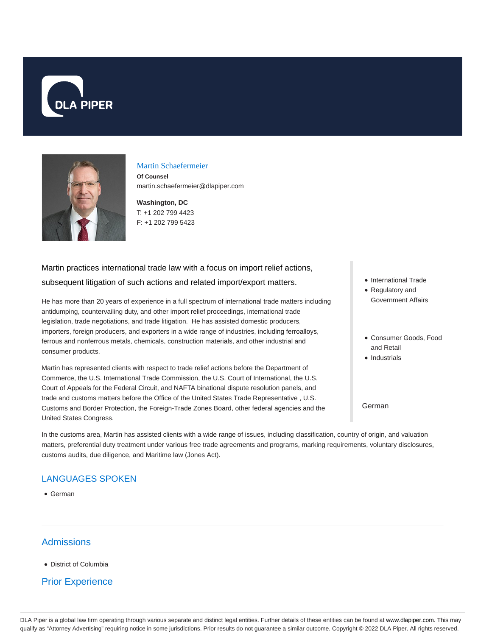



### Martin Schaefermeier

**Of Counsel** martin.schaefermeier@dlapiper.com

**Washington, DC** T: +1 202 799 4423 F: +1 202 799 5423

# Martin practices international trade law with a focus on import relief actions, subsequent litigation of such actions and related import/export matters.

He has more than 20 years of experience in a full spectrum of international trade matters including antidumping, countervailing duty, and other import relief proceedings, international trade legislation, trade negotiations, and trade litigation. He has assisted domestic producers, importers, foreign producers, and exporters in a wide range of industries, including ferroalloys, ferrous and nonferrous metals, chemicals, construction materials, and other industrial and consumer products.

Martin has represented clients with respect to trade relief actions before the Department of Commerce, the U.S. International Trade Commission, the U.S. Court of International, the U.S. Court of Appeals for the Federal Circuit, and NAFTA binational dispute resolution panels, and trade and customs matters before the Office of the United States Trade Representative , U.S. Customs and Border Protection, the Foreign-Trade Zones Board, other federal agencies and the United States Congress.

- International Trade
- Regulatory and Government Affairs
- Consumer Goods, Food and Retail
- Industrials

# German

In the customs area, Martin has assisted clients with a wide range of issues, including classification, country of origin, and valuation matters, preferential duty treatment under various free trade agreements and programs, marking requirements, voluntary disclosures, customs audits, due diligence, and Maritime law (Jones Act).

# LANGUAGES SPOKEN

German

# **Admissions**

District of Columbia

# Prior Experience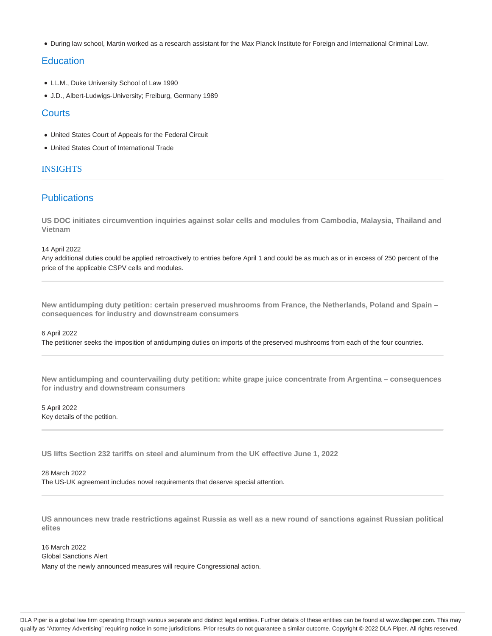During law school, Martin worked as a research assistant for the Max Planck Institute for Foreign and International Criminal Law.

# **Education**

- LL.M., Duke University School of Law 1990
- J.D., Albert-Ludwigs-University; Freiburg, Germany 1989

# **Courts**

- United States Court of Appeals for the Federal Circuit
- United States Court of International Trade

# INSIGHTS

# **Publications**

**US DOC initiates circumvention inquiries against solar cells and modules from Cambodia, Malaysia, Thailand and Vietnam**

14 April 2022

Any additional duties could be applied retroactively to entries before April 1 and could be as much as or in excess of 250 percent of the price of the applicable CSPV cells and modules.

**New antidumping duty petition: certain preserved mushrooms from France, the Netherlands, Poland and Spain – consequences for industry and downstream consumers**

### 6 April 2022

The petitioner seeks the imposition of antidumping duties on imports of the preserved mushrooms from each of the four countries.

**New antidumping and countervailing duty petition: white grape juice concentrate from Argentina – consequences for industry and downstream consumers**

5 April 2022 Key details of the petition.

**US lifts Section 232 tariffs on steel and aluminum from the UK effective June 1, 2022**

28 March 2022 The US-UK agreement includes novel requirements that deserve special attention.

**US announces new trade restrictions against Russia as well as a new round of sanctions against Russian political elites**

16 March 2022 Global Sanctions Alert Many of the newly announced measures will require Congressional action.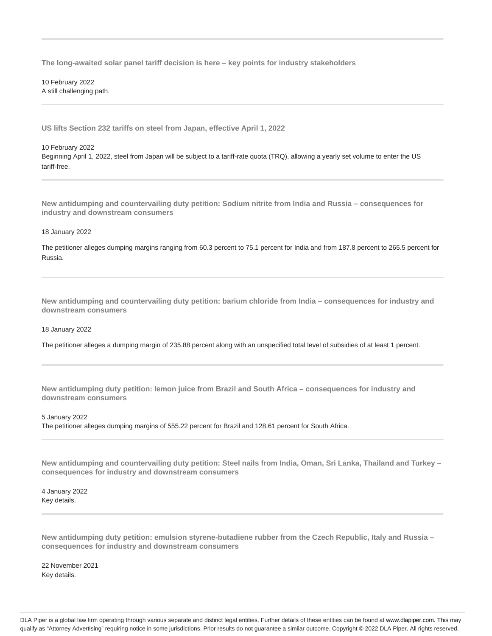**The long-awaited solar panel tariff decision is here – key points for industry stakeholders**

10 February 2022 A still challenging path.

**US lifts Section 232 tariffs on steel from Japan, effective April 1, 2022**

#### 10 February 2022

Beginning April 1, 2022, steel from Japan will be subject to a tariff-rate quota (TRQ), allowing a yearly set volume to enter the US tariff-free.

**New antidumping and countervailing duty petition: Sodium nitrite from India and Russia – consequences for industry and downstream consumers**

#### 18 January 2022

The petitioner alleges dumping margins ranging from 60.3 percent to 75.1 percent for India and from 187.8 percent to 265.5 percent for Russia.

**New antidumping and countervailing duty petition: barium chloride from India – consequences for industry and downstream consumers**

#### 18 January 2022

The petitioner alleges a dumping margin of 235.88 percent along with an unspecified total level of subsidies of at least 1 percent.

**New antidumping duty petition: lemon juice from Brazil and South Africa – consequences for industry and downstream consumers**

## 5 January 2022 The petitioner alleges dumping margins of 555.22 percent for Brazil and 128.61 percent for South Africa.

**New antidumping and countervailing duty petition: Steel nails from India, Oman, Sri Lanka, Thailand and Turkey – consequences for industry and downstream consumers**

4 January 2022 Key details.

**New antidumping duty petition: emulsion styrene-butadiene rubber from the Czech Republic, Italy and Russia – consequences for industry and downstream consumers**

22 November 2021 Key details.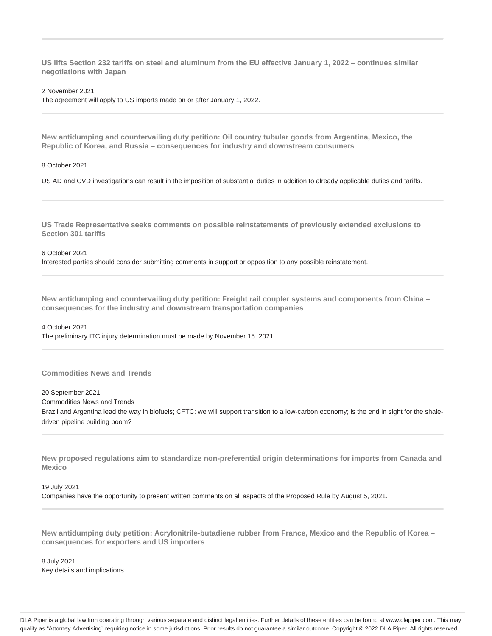**US lifts Section 232 tariffs on steel and aluminum from the EU effective January 1, 2022 – continues similar negotiations with Japan**

2 November 2021

The agreement will apply to US imports made on or after January 1, 2022.

**New antidumping and countervailing duty petition: Oil country tubular goods from Argentina, Mexico, the Republic of Korea, and Russia – consequences for industry and downstream consumers**

8 October 2021

US AD and CVD investigations can result in the imposition of substantial duties in addition to already applicable duties and tariffs.

**US Trade Representative seeks comments on possible reinstatements of previously extended exclusions to Section 301 tariffs**

### 6 October 2021

Interested parties should consider submitting comments in support or opposition to any possible reinstatement.

**New antidumping and countervailing duty petition: Freight rail coupler systems and components from China – consequences for the industry and downstream transportation companies**

4 October 2021 The preliminary ITC injury determination must be made by November 15, 2021.

## **Commodities News and Trends**

20 September 2021

Commodities News and Trends

Brazil and Argentina lead the way in biofuels; CFTC: we will support transition to a low-carbon economy; is the end in sight for the shaledriven pipeline building boom?

**New proposed regulations aim to standardize non-preferential origin determinations for imports from Canada and Mexico**

19 July 2021

Companies have the opportunity to present written comments on all aspects of the Proposed Rule by August 5, 2021.

**New antidumping duty petition: Acrylonitrile-butadiene rubber from France, Mexico and the Republic of Korea – consequences for exporters and US importers**

8 July 2021 Key details and implications.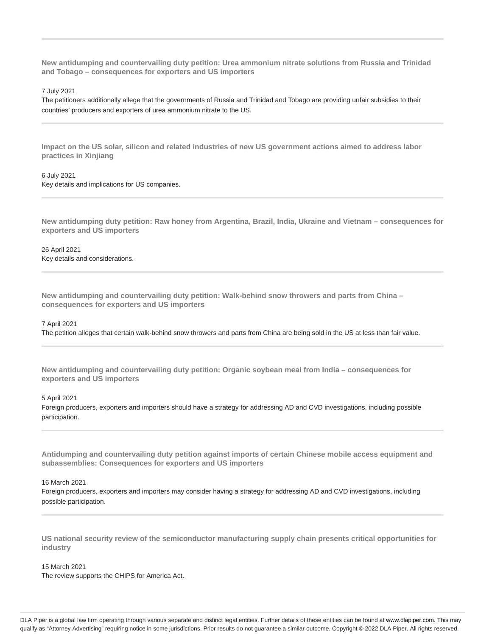**New antidumping and countervailing duty petition: Urea ammonium nitrate solutions from Russia and Trinidad and Tobago – consequences for exporters and US importers**

7 July 2021

The petitioners additionally allege that the governments of Russia and Trinidad and Tobago are providing unfair subsidies to their countries' producers and exporters of urea ammonium nitrate to the US.

**Impact on the US solar, silicon and related industries of new US government actions aimed to address labor practices in Xinjiang**

6 July 2021 Key details and implications for US companies.

**New antidumping duty petition: Raw honey from Argentina, Brazil, India, Ukraine and Vietnam – consequences for exporters and US importers**

26 April 2021 Key details and considerations.

**New antidumping and countervailing duty petition: Walk-behind snow throwers and parts from China – consequences for exporters and US importers**

#### 7 April 2021

The petition alleges that certain walk-behind snow throwers and parts from China are being sold in the US at less than fair value.

**New antidumping and countervailing duty petition: Organic soybean meal from India – consequences for exporters and US importers**

5 April 2021

Foreign producers, exporters and importers should have a strategy for addressing AD and CVD investigations, including possible participation.

**Antidumping and countervailing duty petition against imports of certain Chinese mobile access equipment and subassemblies: Consequences for exporters and US importers**

16 March 2021

Foreign producers, exporters and importers may consider having a strategy for addressing AD and CVD investigations, including possible participation.

**US national security review of the semiconductor manufacturing supply chain presents critical opportunities for industry**

### 15 March 2021

The review supports the CHIPS for America Act.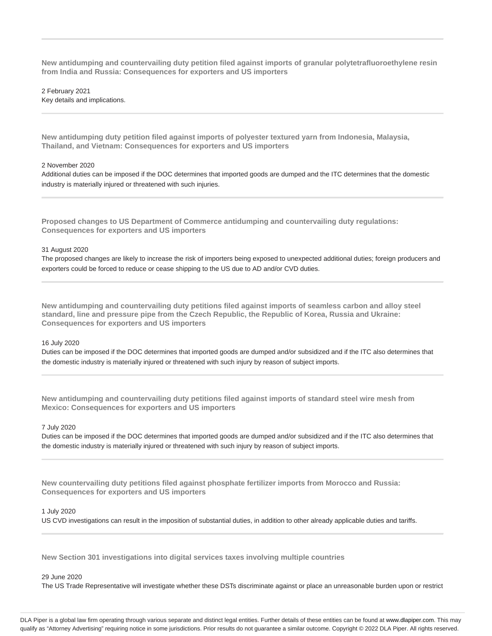**New antidumping and countervailing duty petition filed against imports of granular polytetrafluoroethylene resin from India and Russia: Consequences for exporters and US importers**

2 February 2021 Key details and implications.

**New antidumping duty petition filed against imports of polyester textured yarn from Indonesia, Malaysia, Thailand, and Vietnam: Consequences for exporters and US importers**

#### 2 November 2020

Additional duties can be imposed if the DOC determines that imported goods are dumped and the ITC determines that the domestic industry is materially injured or threatened with such injuries.

**Proposed changes to US Department of Commerce antidumping and countervailing duty regulations: Consequences for exporters and US importers**

#### 31 August 2020

The proposed changes are likely to increase the risk of importers being exposed to unexpected additional duties; foreign producers and exporters could be forced to reduce or cease shipping to the US due to AD and/or CVD duties.

**New antidumping and countervailing duty petitions filed against imports of seamless carbon and alloy steel standard, line and pressure pipe from the Czech Republic, the Republic of Korea, Russia and Ukraine: Consequences for exporters and US importers**

#### 16 July 2020

Duties can be imposed if the DOC determines that imported goods are dumped and/or subsidized and if the ITC also determines that the domestic industry is materially injured or threatened with such injury by reason of subject imports.

**New antidumping and countervailing duty petitions filed against imports of standard steel wire mesh from Mexico: Consequences for exporters and US importers**

#### 7 July 2020

Duties can be imposed if the DOC determines that imported goods are dumped and/or subsidized and if the ITC also determines that the domestic industry is materially injured or threatened with such injury by reason of subject imports.

**New countervailing duty petitions filed against phosphate fertilizer imports from Morocco and Russia: Consequences for exporters and US importers**

## 1 July 2020

US CVD investigations can result in the imposition of substantial duties, in addition to other already applicable duties and tariffs.

**New Section 301 investigations into digital services taxes involving multiple countries**

#### 29 June 2020

The US Trade Representative will investigate whether these DSTs discriminate against or place an unreasonable burden upon or restrict